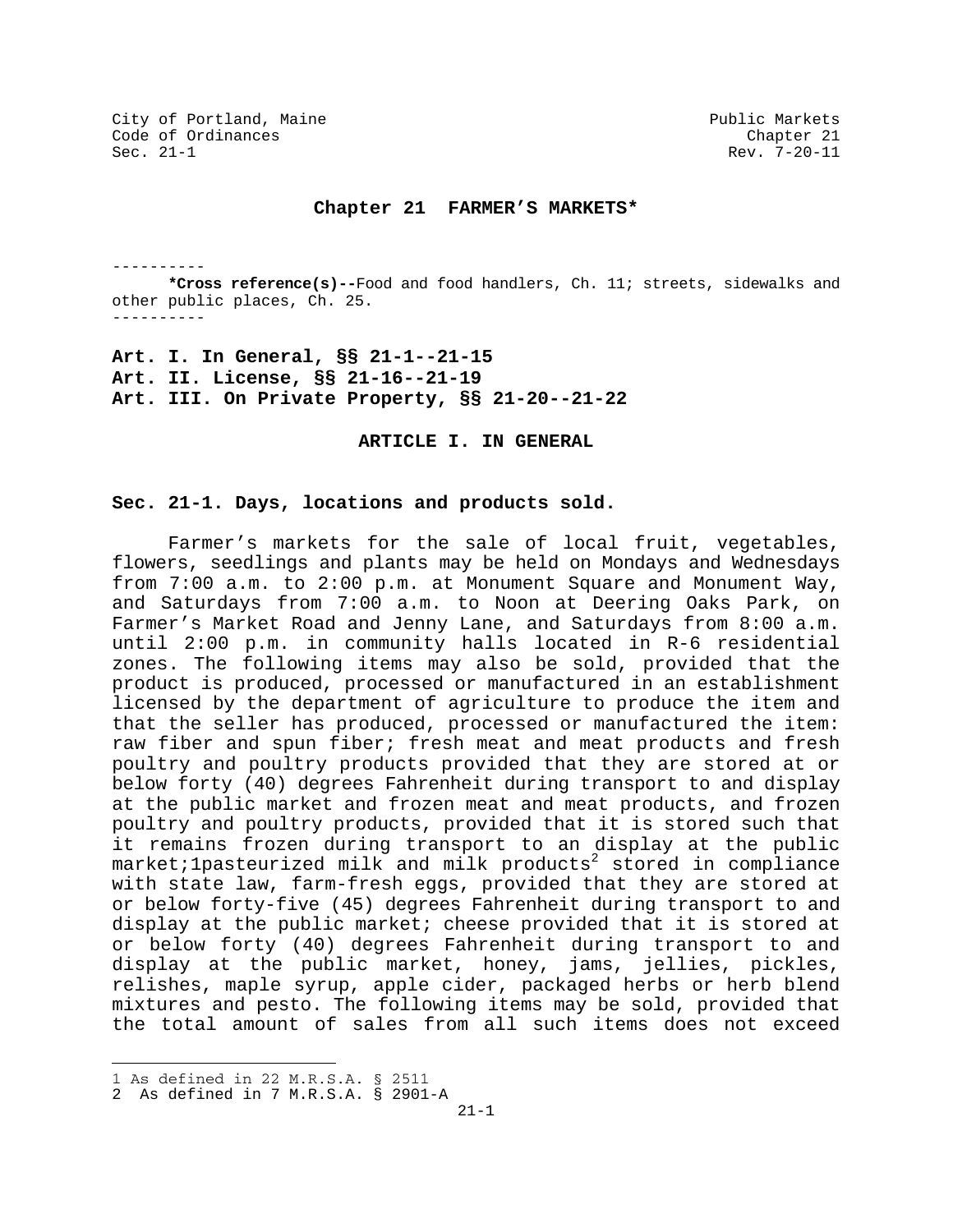#### **Chapter 21 FARMER'S MARKETS\***

----------

**\*Cross reference(s)--**Food and food handlers, Ch. 11; streets, sidewalks and other public places, Ch. 25. ----------

**Art. I. In General, §§ 21-1--21-15 Art. II. License, §§ 21-16--21-19 Art. III. On Private Property, §§ 21-20--21-22**

**ARTICLE I. IN GENERAL** 

## **Sec. 21-1. Days, locations and products sold.**

Farmer's markets for the sale of local fruit, vegetables, flowers, seedlings and plants may be held on Mondays and Wednesdays from 7:00 a.m. to 2:00 p.m. at Monument Square and Monument Way, and Saturdays from 7:00 a.m. to Noon at Deering Oaks Park, on Farmer's Market Road and Jenny Lane, and Saturdays from 8:00 a.m. until 2:00 p.m. in community halls located in R-6 residential zones. The following items may also be sold, provided that the product is produced, processed or manufactured in an establishment licensed by the department of agriculture to produce the item and that the seller has produced, processed or manufactured the item: raw fiber and spun fiber; fresh meat and meat products and fresh poultry and poultry products provided that they are stored at or below forty (40) degrees Fahrenheit during transport to and display at the public market and frozen meat and meat products, and frozen poultry and poultry products, provided that it is stored such that it remains frozen during transport to an display at the public market;1pasteurized milk and milk products $^2$  stored in compliance with state law, farm-fresh eggs, provided that they are stored at or below forty-five (45) degrees Fahrenheit during transport to and display at the public market; cheese provided that it is stored at or below forty (40) degrees Fahrenheit during transport to and display at the public market, honey, jams, jellies, pickles, relishes, maple syrup, apple cider, packaged herbs or herb blend mixtures and pesto. The following items may be sold, provided that the total amount of sales from all such items does not exceed

i 1 As defined in 22 M.R.S.A. § 2511

<sup>2</sup> As defined in 7 M.R.S.A. § 2901-A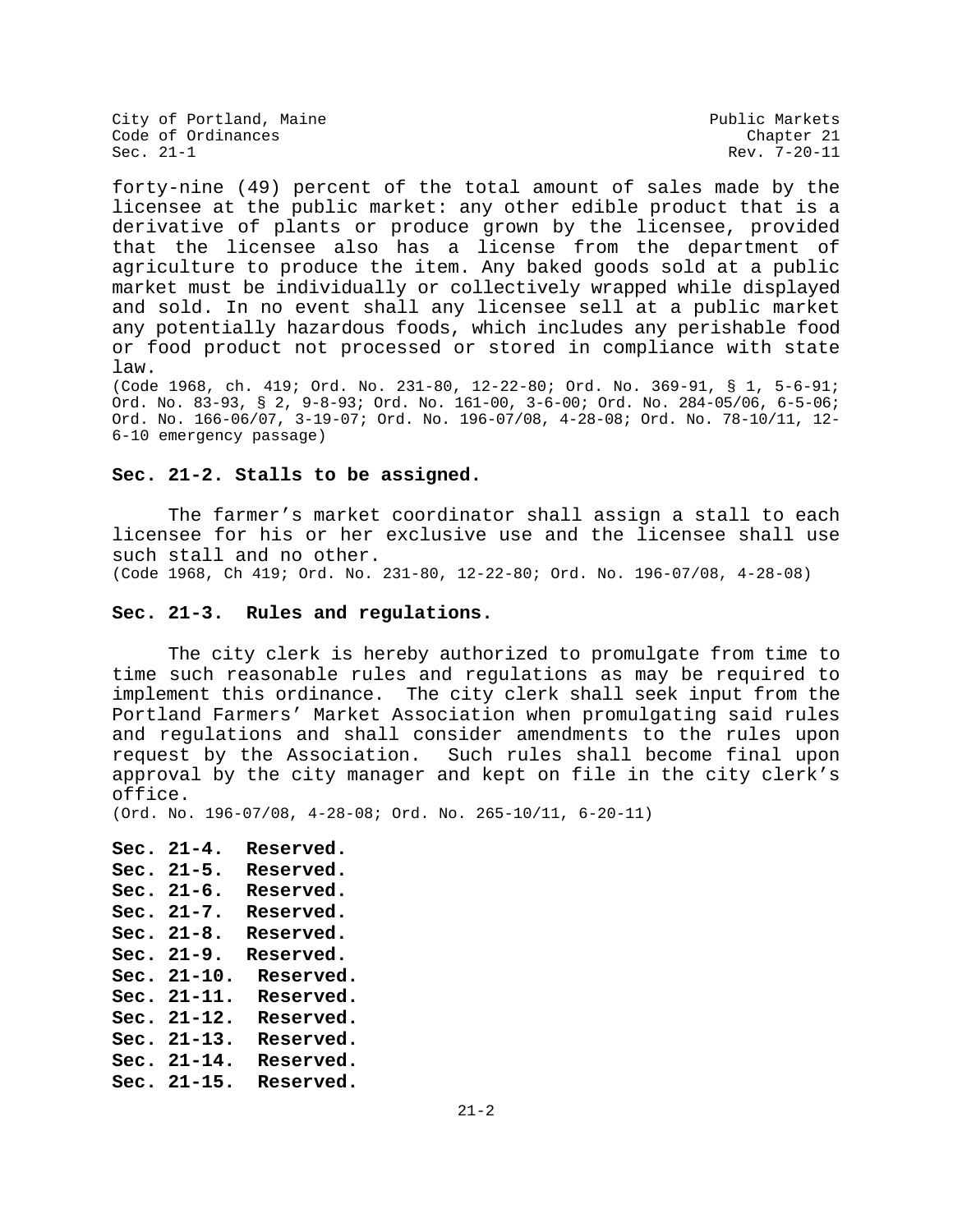Rev. 7-20-11

forty-nine (49) percent of the total amount of sales made by the licensee at the public market: any other edible product that is a derivative of plants or produce grown by the licensee, provided that the licensee also has a license from the department of agriculture to produce the item. Any baked goods sold at a public market must be individually or collectively wrapped while displayed and sold. In no event shall any licensee sell at a public market any potentially hazardous foods, which includes any perishable food or food product not processed or stored in compliance with state law.

(Code 1968, ch. 419; Ord. No. 231-80, 12-22-80; Ord. No. 369-91, § 1, 5-6-91; Ord. No. 83-93, § 2, 9-8-93; Ord. No. 161-00, 3-6-00; Ord. No. 284-05/06, 6-5-06; Ord. No. 166-06/07, 3-19-07; Ord. No. 196-07/08, 4-28-08; Ord. No. 78-10/11, 12- 6-10 emergency passage)

### **Sec. 21-2. Stalls to be assigned.**

The farmer's market coordinator shall assign a stall to each licensee for his or her exclusive use and the licensee shall use such stall and no other.

(Code 1968, Ch 419; Ord. No. 231-80, 12-22-80; Ord. No. 196-07/08, 4-28-08)

# **Sec. 21-3. Rules and regulations.**

 The city clerk is hereby authorized to promulgate from time to time such reasonable rules and regulations as may be required to implement this ordinance. The city clerk shall seek input from the Portland Farmers' Market Association when promulgating said rules and regulations and shall consider amendments to the rules upon request by the Association. Such rules shall become final upon approval by the city manager and kept on file in the city clerk's office.

(Ord. No. 196-07/08, 4-28-08; Ord. No. 265-10/11, 6-20-11)

**Sec. 21-4. Reserved. Sec. 21-5. Reserved. Sec. 21-6. Reserved. Sec. 21-7. Reserved. Sec. 21-8. Reserved. Sec. 21-9. Reserved. Sec. 21-10. Reserved. Sec. 21-11. Reserved. Sec. 21-12. Reserved. Sec. 21-13. Reserved. Sec. 21-14. Reserved. Sec. 21-15. Reserved.**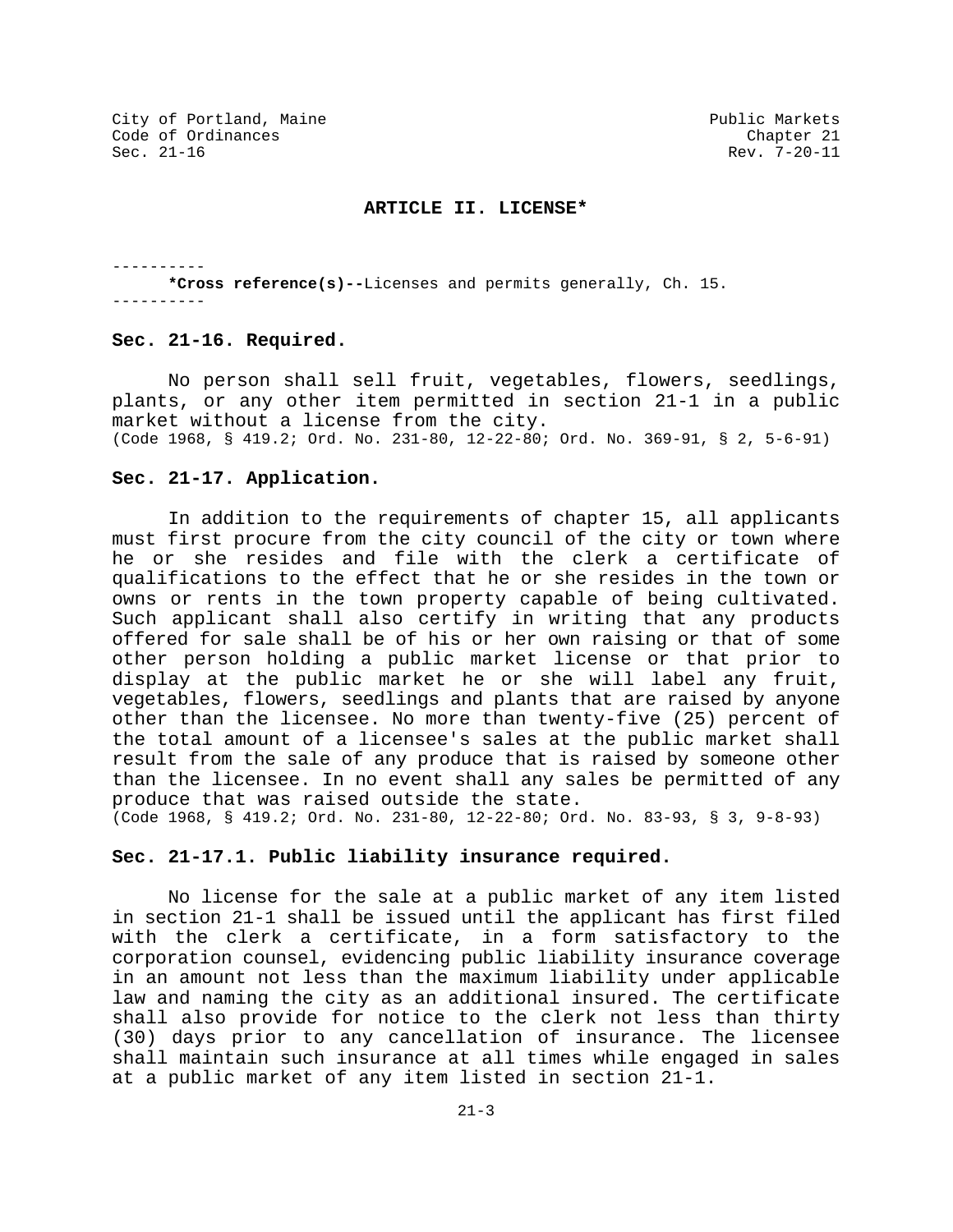#### **ARTICLE II. LICENSE\***

---------- **\*Cross reference(s)--**Licenses and permits generally, Ch. 15. ----------

#### **Sec. 21-16. Required.**

No person shall sell fruit, vegetables, flowers, seedlings, plants, or any other item permitted in section 21-1 in a public market without a license from the city. (Code 1968, § 419.2; Ord. No. 231-80, 12-22-80; Ord. No. 369-91, § 2, 5-6-91)

### **Sec. 21-17. Application.**

In addition to the requirements of chapter 15, all applicants must first procure from the city council of the city or town where he or she resides and file with the clerk a certificate of qualifications to the effect that he or she resides in the town or owns or rents in the town property capable of being cultivated. Such applicant shall also certify in writing that any products offered for sale shall be of his or her own raising or that of some other person holding a public market license or that prior to display at the public market he or she will label any fruit, vegetables, flowers, seedlings and plants that are raised by anyone other than the licensee. No more than twenty-five (25) percent of the total amount of a licensee's sales at the public market shall result from the sale of any produce that is raised by someone other than the licensee. In no event shall any sales be permitted of any produce that was raised outside the state. (Code 1968, § 419.2; Ord. No. 231-80, 12-22-80; Ord. No. 83-93, § 3, 9-8-93)

## **Sec. 21-17.1. Public liability insurance required.**

No license for the sale at a public market of any item listed in section 21-1 shall be issued until the applicant has first filed with the clerk a certificate, in a form satisfactory to the corporation counsel, evidencing public liability insurance coverage in an amount not less than the maximum liability under applicable law and naming the city as an additional insured. The certificate shall also provide for notice to the clerk not less than thirty (30) days prior to any cancellation of insurance. The licensee shall maintain such insurance at all times while engaged in sales at a public market of any item listed in section 21-1.